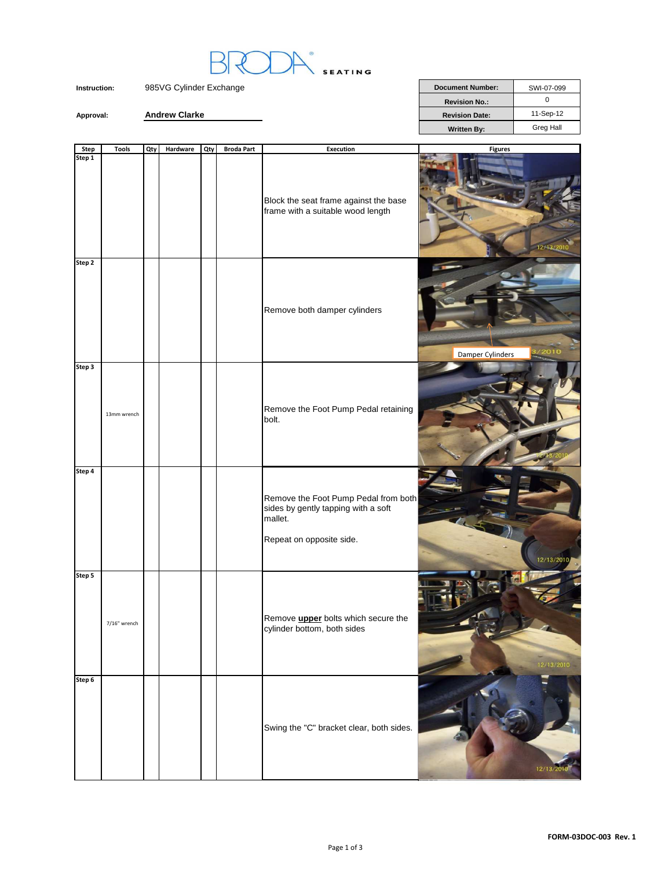

Approval: **Andrew Clarke** 

| <b>Document Number:</b> | SWI-07-099 |
|-------------------------|------------|
| <b>Revision No.:</b>    |            |
| <b>Revision Date:</b>   | 11-Sep-12  |
| <b>Written By:</b>      | Greg Hall  |

| <b>Step</b> | <b>Tools</b> | Qty | Hardware | Qty | <b>Broda Part</b> | <b>Execution</b>                                                                                                   | <b>Figures</b>   |
|-------------|--------------|-----|----------|-----|-------------------|--------------------------------------------------------------------------------------------------------------------|------------------|
| Step 1      |              |     |          |     |                   | Block the seat frame against the base<br>frame with a suitable wood length                                         | 2/13/2010        |
| Step 2      |              |     |          |     |                   | Remove both damper cylinders                                                                                       | Damper Cylinders |
| Step 3      | 13mm wrench  |     |          |     |                   | Remove the Foot Pump Pedal retaining<br>bolt.                                                                      |                  |
| Step 4      |              |     |          |     |                   | Remove the Foot Pump Pedal from both<br>sides by gently tapping with a soft<br>mallet.<br>Repeat on opposite side. | 12/13/2010       |
| Step 5      | 7/16" wrench |     |          |     |                   | Remove <i>upper</i> bolts which secure the<br>cylinder bottom, both sides                                          | 12/13/2010       |
| Step 6      |              |     |          |     |                   | Swing the "C" bracket clear, both sides.                                                                           | 12/13/20         |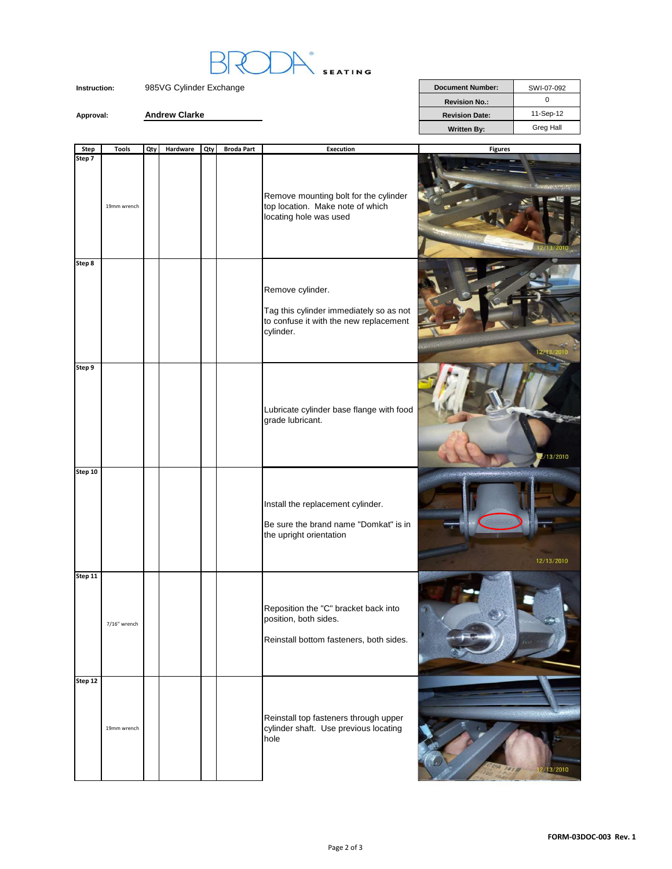

**Revision No.:** 0 **Approval: Andrew Clarke Andrew Clarke Revision Date:** 11-Sep-12 Written By: Greg Hall

| <b>Step</b> | <b>Tools</b> | Qty | Hardware | Qty | <b>Broda Part</b> | <b>Execution</b>                                                                                                   | <b>Figures</b> |
|-------------|--------------|-----|----------|-----|-------------------|--------------------------------------------------------------------------------------------------------------------|----------------|
| Step 7      | 19mm wrench  |     |          |     |                   | Remove mounting bolt for the cylinder<br>top location. Make note of which<br>locating hole was used                |                |
| Step 8      |              |     |          |     |                   | Remove cylinder.<br>Tag this cylinder immediately so as not<br>to confuse it with the new replacement<br>cylinder. |                |
| Step 9      |              |     |          |     |                   | Lubricate cylinder base flange with food<br>grade lubricant.                                                       | 13/2010        |
| Step 10     |              |     |          |     |                   | Install the replacement cylinder.<br>Be sure the brand name "Domkat" is in<br>the upright orientation              | 12/13/2010     |
| Step 11     | 7/16" wrench |     |          |     |                   | Reposition the "C" bracket back into<br>position, both sides.<br>Reinstall bottom fasteners, both sides.           |                |
| Step 12     | 19mm wrench  |     |          |     |                   | Reinstall top fasteners through upper<br>cylinder shaft. Use previous locating<br>hole                             | 2/13/2010      |